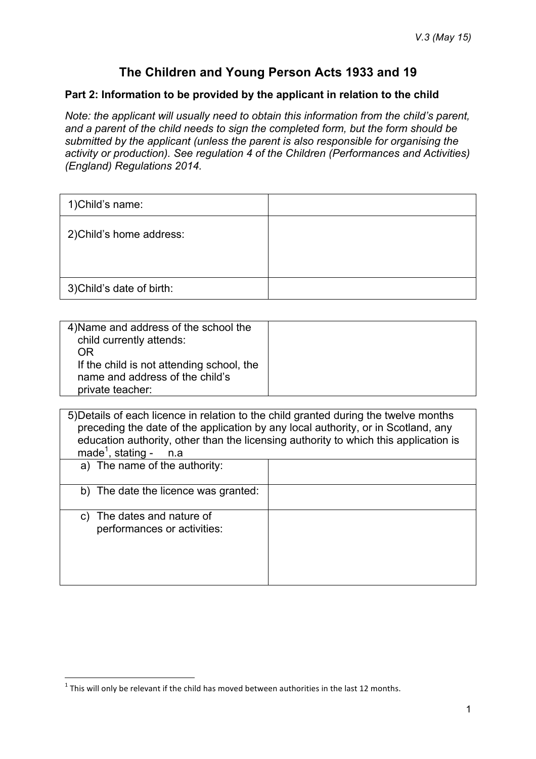# **The Children and Young Person Acts 1933 and 19**

#### **Part 2: Information to be provided by the applicant in relation to the child**

*Note: the applicant will usually need to obtain this information from the child's parent, and a parent of the child needs to sign the completed form, but the form should be submitted by the applicant (unless the parent is also responsible for organising the activity or production). See regulation 4 of the Children (Performances and Activities) (England) Regulations 2014.* 

| 1) Child's name:          |  |
|---------------------------|--|
| 2) Child's home address:  |  |
| 3) Child's date of birth: |  |

| 4) Name and address of the school the<br>child currently attends: |  |
|-------------------------------------------------------------------|--|
| ΩR                                                                |  |
| If the child is not attending school, the                         |  |
| name and address of the child's                                   |  |
| private teacher:                                                  |  |

| 5) Details of each licence in relation to the child granted during the twelve months<br>preceding the date of the application by any local authority, or in Scotland, any<br>education authority, other than the licensing authority to which this application is<br>made <sup>1</sup> , stating -<br>n.a |  |
|-----------------------------------------------------------------------------------------------------------------------------------------------------------------------------------------------------------------------------------------------------------------------------------------------------------|--|
| a) The name of the authority:                                                                                                                                                                                                                                                                             |  |
| b) The date the licence was granted:                                                                                                                                                                                                                                                                      |  |
| c) The dates and nature of<br>performances or activities:                                                                                                                                                                                                                                                 |  |

<sup>&</sup>lt;u> 1989 - Johann Barn, mars ann an t-Amhain an t-Amhain an t-Amhain an t-Amhain an t-Amhain an t-Amhain an t-Amh</u>  $^1$  This will only be relevant if the child has moved between authorities in the last 12 months.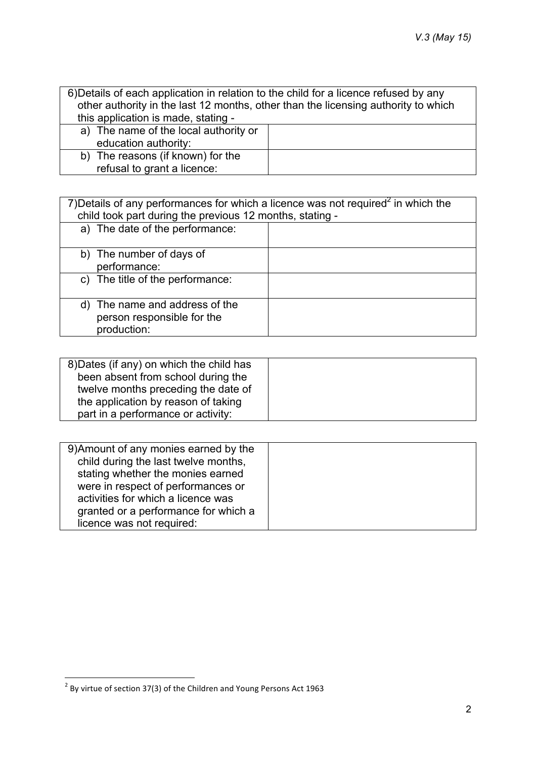| 6) Details of each application in relation to the child for a licence refused by any |  |
|--------------------------------------------------------------------------------------|--|
| other authority in the last 12 months, other than the licensing authority to which   |  |
| this application is made, stating -                                                  |  |
| a) The name of the local authority or                                                |  |
| education authority:                                                                 |  |
| b) The reasons (if known) for the                                                    |  |
| refusal to grant a licence:                                                          |  |

| 7) Details of any performances for which a licence was not required <sup>2</sup> in which the<br>child took part during the previous 12 months, stating - |  |
|-----------------------------------------------------------------------------------------------------------------------------------------------------------|--|
| a) The date of the performance:                                                                                                                           |  |
| b) The number of days of                                                                                                                                  |  |
| performance:                                                                                                                                              |  |
| c) The title of the performance:                                                                                                                          |  |
| d) The name and address of the<br>person responsible for the<br>production:                                                                               |  |

| 8) Dates (if any) on which the child has |  |
|------------------------------------------|--|
| been absent from school during the       |  |
| twelve months preceding the date of      |  |
| the application by reason of taking      |  |
| part in a performance or activity:       |  |

| 9) Amount of any monies earned by the |  |
|---------------------------------------|--|
| child during the last twelve months,  |  |
| stating whether the monies earned     |  |
| were in respect of performances or    |  |
| activities for which a licence was    |  |
| granted or a performance for which a  |  |
| licence was not required:             |  |

<u> 1989 - Johann Barn, mars ann an t-Amhain an t-Amhain an t-Amhain an t-Amhain an t-Amhain an t-Amhain an t-Amh</u>

 $^2$  By virtue of section 37(3) of the Children and Young Persons Act 1963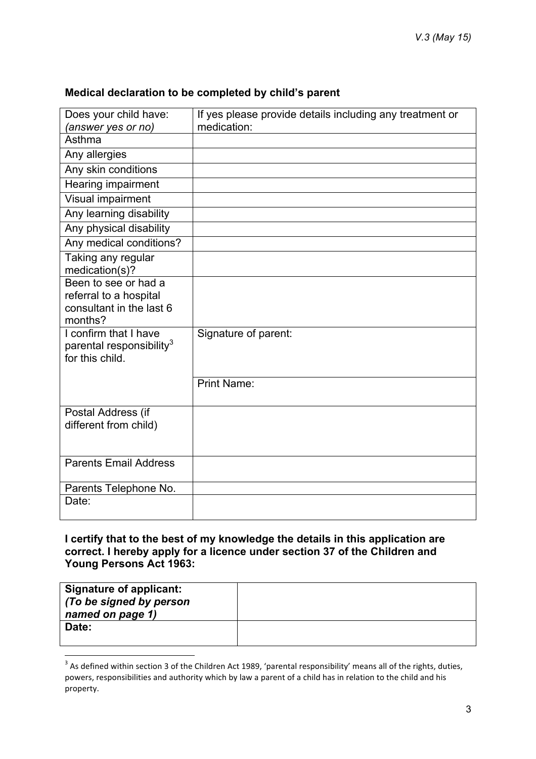## **Medical declaration to be completed by child's parent**

| Does your child have:                                                                 | If yes please provide details including any treatment or |
|---------------------------------------------------------------------------------------|----------------------------------------------------------|
| (answer yes or no)<br>Asthma                                                          | medication:                                              |
|                                                                                       |                                                          |
| Any allergies                                                                         |                                                          |
| Any skin conditions                                                                   |                                                          |
| Hearing impairment                                                                    |                                                          |
| Visual impairment                                                                     |                                                          |
| Any learning disability                                                               |                                                          |
| Any physical disability                                                               |                                                          |
| Any medical conditions?                                                               |                                                          |
| Taking any regular<br>medication(s)?                                                  |                                                          |
| Been to see or had a<br>referral to a hospital<br>consultant in the last 6<br>months? |                                                          |
| I confirm that I have<br>parental responsibility <sup>3</sup><br>for this child.      | Signature of parent:                                     |
|                                                                                       | <b>Print Name:</b>                                       |
| Postal Address (if<br>different from child)                                           |                                                          |
| <b>Parents Email Address</b>                                                          |                                                          |
| Parents Telephone No.                                                                 |                                                          |
| Date:                                                                                 |                                                          |

### **I certify that to the best of my knowledge the details in this application are correct. I hereby apply for a licence under section 37 of the Children and Young Persons Act 1963:**

| <b>Signature of applicant:</b><br>(To be signed by person<br>named on page 1) |  |
|-------------------------------------------------------------------------------|--|
| Date:                                                                         |  |

<u> 1989 - Johann Barn, mars ann an t-Amhain an t-Amhain an t-Amhain an t-Amhain an t-Amhain an t-Amhain an t-Amh</u>

 $3$  As defined within section 3 of the Children Act 1989, 'parental responsibility' means all of the rights, duties, powers, responsibilities and authority which by law a parent of a child has in relation to the child and his property.